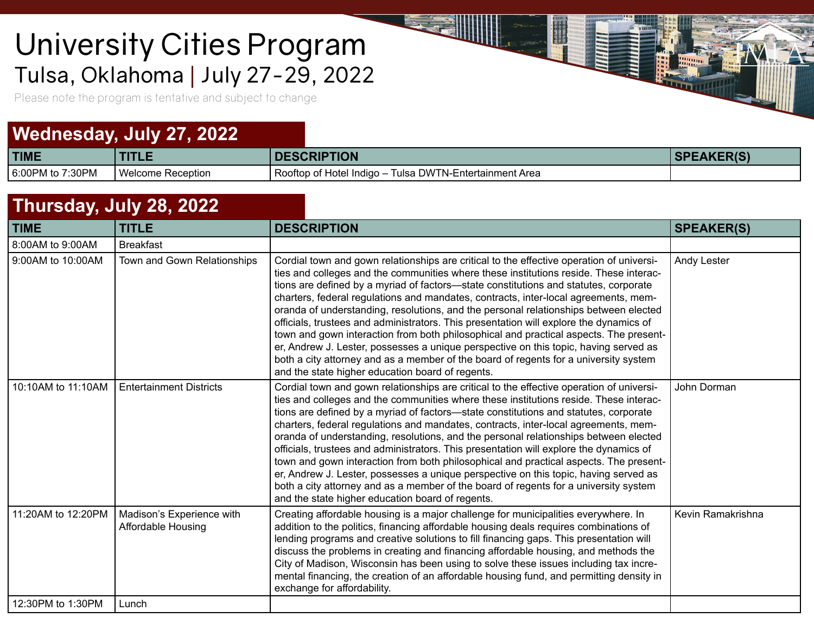## Tulsa, Oklahoma | July 27-29, 2022 University Cities Program

Please note the program is tentative and subject to change

## **Wednesday, July 27, 2022**

| <b>TIME</b>      |                   | <b>SCRIPTION</b>                                                    | $\mathsf{L}\Lambda\mathsf{L}'\mathsf{L}\mathsf{D}'\mathsf{C}'$ |
|------------------|-------------------|---------------------------------------------------------------------|----------------------------------------------------------------|
| 6:00PM to 7:30PM | Welcome Reception | Rooftop of Hotel Indigo – T<br>่ DWTN-Entertainment Area<br>⊺ulsa I |                                                                |

H

**Links** 

 $\mathbb{R}$  .

## **Thursday, July 28, 2022**

| <b>TIME</b>        | <b>TITLE</b>                                           | <b>DESCRIPTION</b>                                                                                                                                                                                                                                                                                                                                                                                                                                                                                                                                                                                                                                                                                                                                                                                                                                                              | <b>SPEAKER(S)</b>  |
|--------------------|--------------------------------------------------------|---------------------------------------------------------------------------------------------------------------------------------------------------------------------------------------------------------------------------------------------------------------------------------------------------------------------------------------------------------------------------------------------------------------------------------------------------------------------------------------------------------------------------------------------------------------------------------------------------------------------------------------------------------------------------------------------------------------------------------------------------------------------------------------------------------------------------------------------------------------------------------|--------------------|
| 8:00AM to 9:00AM   | <b>Breakfast</b>                                       |                                                                                                                                                                                                                                                                                                                                                                                                                                                                                                                                                                                                                                                                                                                                                                                                                                                                                 |                    |
| 9:00AM to 10:00AM  | Town and Gown Relationships                            | Cordial town and gown relationships are critical to the effective operation of universi-<br>ties and colleges and the communities where these institutions reside. These interac-<br>tions are defined by a myriad of factors-state constitutions and statutes, corporate<br>charters, federal regulations and mandates, contracts, inter-local agreements, mem-<br>oranda of understanding, resolutions, and the personal relationships between elected<br>officials, trustees and administrators. This presentation will explore the dynamics of<br>town and gown interaction from both philosophical and practical aspects. The present-<br>er, Andrew J. Lester, possesses a unique perspective on this topic, having served as<br>both a city attorney and as a member of the board of regents for a university system<br>and the state higher education board of regents. | <b>Andy Lester</b> |
| 10:10AM to 11:10AM | <b>Entertainment Districts</b>                         | Cordial town and gown relationships are critical to the effective operation of universi-<br>ties and colleges and the communities where these institutions reside. These interac-<br>tions are defined by a myriad of factors—state constitutions and statutes, corporate<br>charters, federal regulations and mandates, contracts, inter-local agreements, mem-<br>oranda of understanding, resolutions, and the personal relationships between elected<br>officials, trustees and administrators. This presentation will explore the dynamics of<br>town and gown interaction from both philosophical and practical aspects. The present-<br>er, Andrew J. Lester, possesses a unique perspective on this topic, having served as<br>both a city attorney and as a member of the board of regents for a university system<br>and the state higher education board of regents. | John Dorman        |
| 11:20AM to 12:20PM | Madison's Experience with<br><b>Affordable Housing</b> | Creating affordable housing is a major challenge for municipalities everywhere. In<br>addition to the politics, financing affordable housing deals requires combinations of<br>lending programs and creative solutions to fill financing gaps. This presentation will<br>discuss the problems in creating and financing affordable housing, and methods the<br>City of Madison, Wisconsin has been using to solve these issues including tax incre-<br>mental financing, the creation of an affordable housing fund, and permitting density in<br>exchange for affordability.                                                                                                                                                                                                                                                                                                   | Kevin Ramakrishna  |
| 12:30PM to 1:30PM  | Lunch                                                  |                                                                                                                                                                                                                                                                                                                                                                                                                                                                                                                                                                                                                                                                                                                                                                                                                                                                                 |                    |